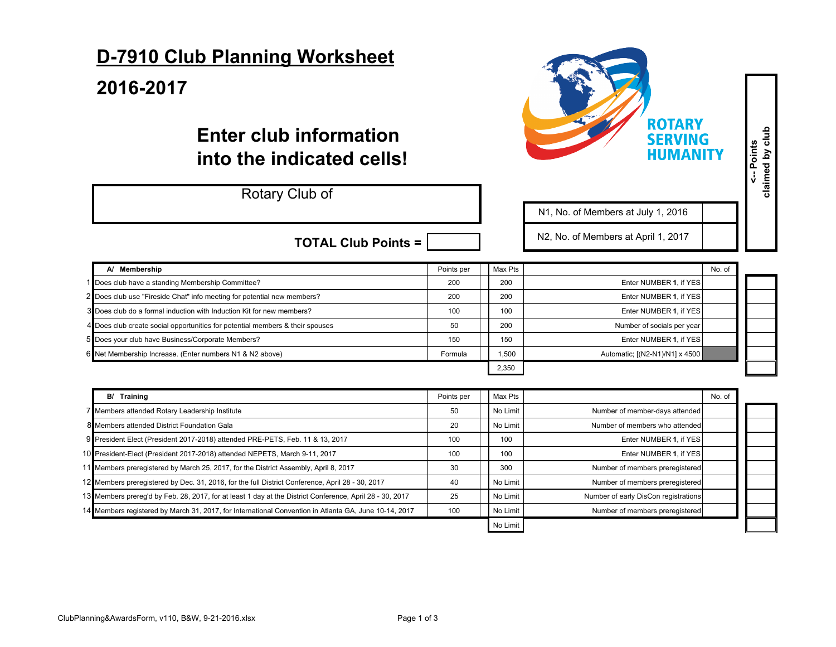## **D-7910 Club Planning Worksheet**

## **2016-2017**

## **Enter club information into the indicated cells!**

## Rotary Club of



N1, No. of Members at July 1, 2016

N2, No. of Members at April

| 1, 2017 |                  |
|---------|------------------|
|         |                  |
|         | Ν٨<br>$\sqrt{2}$ |

|  | <b>TOTAL Club Points = <math>\sqrt{ }</math></b> |  |
|--|--------------------------------------------------|--|
|  |                                                  |  |

| A/ Membership                                                                 | Points per | Max Pts |                                | No. of |  |
|-------------------------------------------------------------------------------|------------|---------|--------------------------------|--------|--|
| 1 Does club have a standing Membership Committee?                             | 200        | 200     | Enter NUMBER 1. if YES         |        |  |
| 2 Does club use "Fireside Chat" info meeting for potential new members?       | 200        | 200     | Enter NUMBER 1. if YES         |        |  |
| 3 Does club do a formal induction with Induction Kit for new members?         | 100        | 100     | Enter NUMBER 1. if YES         |        |  |
| 4 Does club create social opportunities for potential members & their spouses | 50         | 200     | Number of socials per year     |        |  |
| 5 Does your club have Business/Corporate Members?                             | 150        | 150     | Enter NUMBER 1, if YES         |        |  |
| 6 Net Membership Increase. (Enter numbers N1 & N2 above)                      | Formula    | 1,500   | Automatic; [(N2-N1)/N1] x 4500 |        |  |
|                                                                               |            | 2,350   |                                |        |  |

| Training<br>B/                                                                                           | Points per | Max Pts  |                                      | No. of |  |
|----------------------------------------------------------------------------------------------------------|------------|----------|--------------------------------------|--------|--|
| 7 Members attended Rotary Leadership Institute                                                           | 50         | No Limit | Number of member-days attended       |        |  |
| 8 Members attended District Foundation Gala                                                              | 20         | No Limit | Number of members who attended       |        |  |
| 9 President Elect (President 2017-2018) attended PRE-PETS, Feb. 11 & 13, 2017                            | 100        | 100      | Enter NUMBER 1, if YES               |        |  |
| 10 President-Elect (President 2017-2018) attended NEPETS, March 9-11, 2017                               | 100        | 100      | Enter NUMBER 1. if YES               |        |  |
| 11 Members preregistered by March 25, 2017, for the District Assembly, April 8, 2017                     | 30         | 300      | Number of members preregistered      |        |  |
| 12 Members preregistered by Dec. 31, 2016, for the full District Conference, April 28 - 30, 2017         | 40         | No Limit | Number of members preregistered      |        |  |
| 13 Members prereg'd by Feb. 28, 2017, for at least 1 day at the District Conference, April 28 - 30, 2017 | 25         | No Limit | Number of early DisCon registrations |        |  |
| 14 Members registered by March 31, 2017, for International Convention in Atlanta GA, June 10-14, 2017    | 100        | No Limit | Number of members preregistered      |        |  |
|                                                                                                          |            | No Limit |                                      |        |  |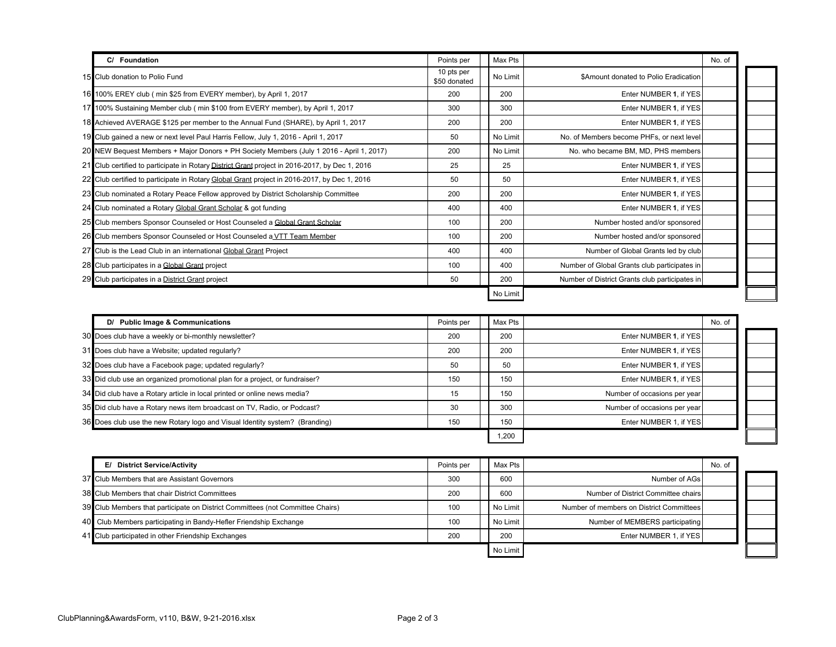| C/ Foundation                                                                                  | Points per                 | Max Pts  |                                                | No. of |
|------------------------------------------------------------------------------------------------|----------------------------|----------|------------------------------------------------|--------|
| 15 Club donation to Polio Fund                                                                 | 10 pts per<br>\$50 donated | No Limit | \$Amount donated to Polio Eradication          |        |
| 16 100% EREY club (min \$25 from EVERY member), by April 1, 2017                               | 200                        | 200      | Enter NUMBER 1, if YES                         |        |
| 17 100% Sustaining Member club (min \$100 from EVERY member), by April 1, 2017                 | 300                        | 300      | Enter NUMBER 1. if YES                         |        |
| 18 Achieved AVERAGE \$125 per member to the Annual Fund (SHARE), by April 1, 2017              | 200                        | 200      | Enter NUMBER 1. if YES                         |        |
| 19 Club gained a new or next level Paul Harris Fellow, July 1, 2016 - April 1, 2017            | 50                         | No Limit | No. of Members become PHFs, or next level      |        |
| 20 NEW Bequest Members + Major Donors + PH Society Members (July 1 2016 - April 1, 2017)       | 200                        | No Limit | No. who became BM, MD, PHS members             |        |
| 21 Club certified to participate in Rotary District Grant project in 2016-2017, by Dec 1, 2016 | 25                         | 25       | Enter NUMBER 1, if YES                         |        |
| 22 Club certified to participate in Rotary Global Grant project in 2016-2017, by Dec 1, 2016   | 50                         | 50       | Enter NUMBER 1, if YES                         |        |
| 23 Club nominated a Rotary Peace Fellow approved by District Scholarship Committee             | 200                        | 200      | Enter NUMBER 1, if YES                         |        |
| 24 Club nominated a Rotary Global Grant Scholar & got funding                                  | 400                        | 400      | Enter NUMBER 1, if YES                         |        |
| 25 Club members Sponsor Counseled or Host Counseled a Global Grant Scholar                     | 100                        | 200      | Number hosted and/or sponsored                 |        |
| 26 Club members Sponsor Counseled or Host Counseled a VTT Team Member                          | 100                        | 200      | Number hosted and/or sponsored                 |        |
| 27 Club is the Lead Club in an international Global Grant Project                              | 400                        | 400      | Number of Global Grants led by club            |        |
| 28 Club participates in a Global Grant project                                                 | 100                        | 400      | Number of Global Grants club participates in   |        |
| 29 Club participates in a District Grant project                                               | 50                         | 200      | Number of District Grants club participates in |        |
|                                                                                                |                            | No Limit |                                                |        |

| D/ Public Image & Communications                                            | Points per | Max Pts |                              | No. of |  |
|-----------------------------------------------------------------------------|------------|---------|------------------------------|--------|--|
| 30 Does club have a weekly or bi-monthly newsletter?                        | 200        | 200     | Enter NUMBER 1. if YES       |        |  |
| 31 Does club have a Website; updated regularly?                             | 200        | 200     | Enter NUMBER 1, if YES       |        |  |
| 32 Does club have a Facebook page; updated regularly?                       | 50         | 50      | Enter NUMBER 1, if YES       |        |  |
| 33 Did club use an organized promotional plan for a project, or fundraiser? | 150        | 150     | Enter NUMBER 1. if YES       |        |  |
| 34 Did club have a Rotary article in local printed or online news media?    | 15         | 150     | Number of occasions per year |        |  |
| 35 Did club have a Rotary news item broadcast on TV, Radio, or Podcast?     | 30         | 300     | Number of occasions per year |        |  |
| 36 Does club use the new Rotary logo and Visual Identity system? (Branding) | 150        | 150     | Enter NUMBER 1, if YES       |        |  |
|                                                                             |            | 1.200   |                              |        |  |

| E/ District Service/Activity                                                   | Points per      | Max Pts  |                                          | No. of |
|--------------------------------------------------------------------------------|-----------------|----------|------------------------------------------|--------|
| 37 Club Members that are Assistant Governors                                   | 300             | 600      | Number of AGs                            |        |
| 38 Club Members that chair District Committees                                 | 200             | 600      | Number of District Committee chairs      |        |
| 39 Club Members that participate on District Committees (not Committee Chairs) | 10 <sup>c</sup> | No Limit | Number of members on District Committees |        |
| 40 Club Members participating in Bandy-Hefler Friendship Exchange              | 10 <sup>c</sup> | No Limit | Number of MEMBERS participating          |        |
| 41 Club participated in other Friendship Exchanges                             | 200             | 200      | Enter NUMBER 1, if YES                   |        |
|                                                                                |                 | No Limit |                                          |        |